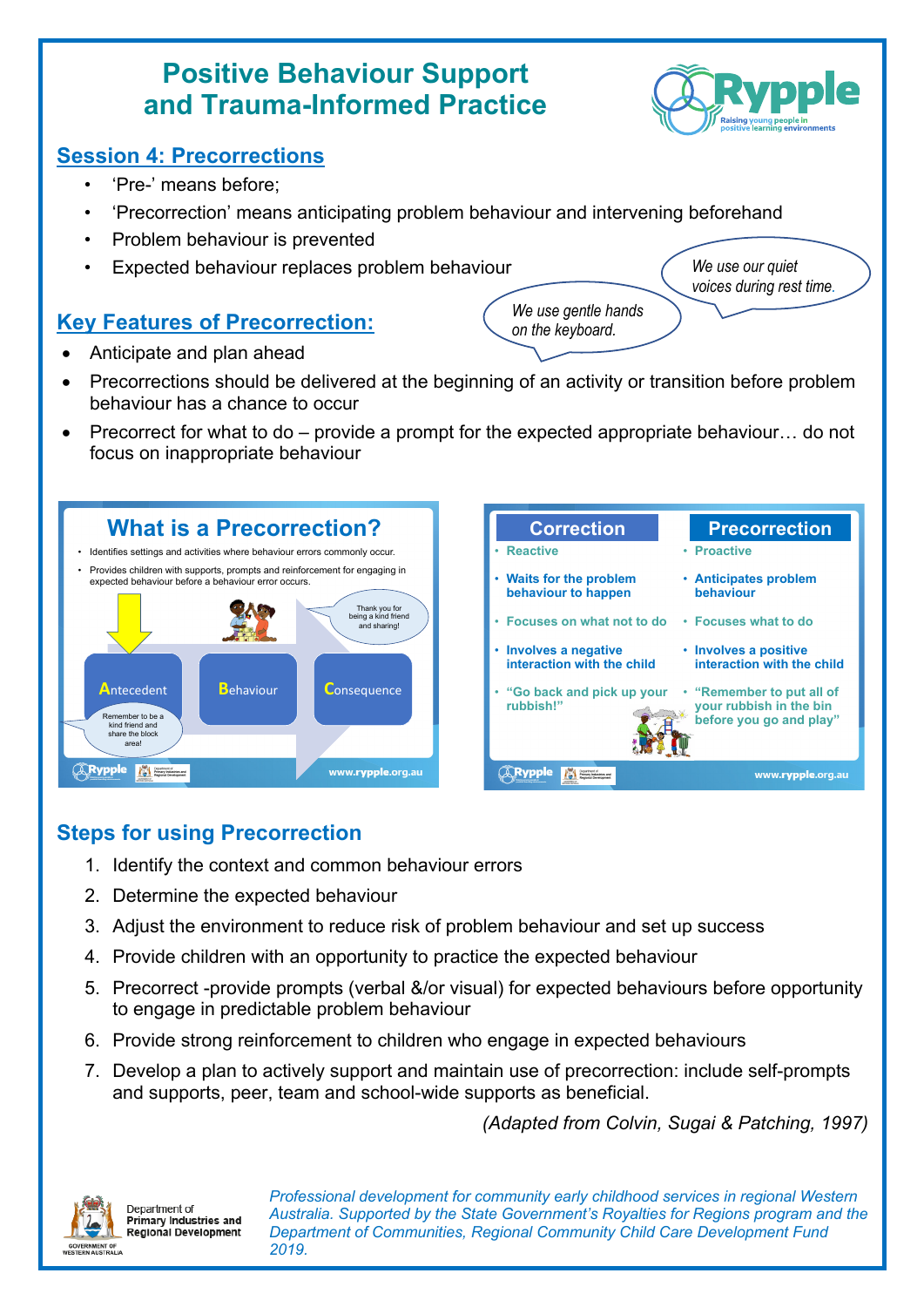## **Positive Behaviour Support and Trauma-Informed Practice**

## **Session 4: Precorrections**

- 'Pre-' means before;
- 'Precorrection' means anticipating problem behaviour and intervening beforehand
- Problem behaviour is prevented
- Expected behaviour replaces problem behaviour

## **Key Features of Precorrection:**

- Anticipate and plan ahead
- Precorrections should be delivered at the beginning of an activity or transition before problem behaviour has a chance to occur
- Precorrect for what to do provide a prompt for the expected appropriate behaviour… do not focus on inappropriate behaviour



| <b>Correction</b>                                                                                                         | <b>Precorrection</b>                                |
|---------------------------------------------------------------------------------------------------------------------------|-----------------------------------------------------|
| <b>Reactive</b>                                                                                                           | • Proactive                                         |
| <b>Waits for the problem</b><br>behaviour to happen                                                                       | • Anticipates problem<br>behaviour                  |
| Focuses on what not to do                                                                                                 | • Focuses what to do                                |
| <b>Involves a negative</b><br>interaction with the child                                                                  | • Involves a positive<br>interaction with the child |
| "Go back and pick up your<br>• "Remember to put all of<br>rubbish!"<br>your rubbish in the bin<br>before you go and play" |                                                     |
|                                                                                                                           | www.rypple.org.au                                   |

## **Steps for using Precorrection**

- 1. Identify the context and common behaviour errors
- 2. Determine the expected behaviour
- 3. Adjust the environment to reduce risk of problem behaviour and set up success
- 4. Provide children with an opportunity to practice the expected behaviour
- 5. Precorrect -provide prompts (verbal &/or visual) for expected behaviours before opportunity to engage in predictable problem behaviour
- 6. Provide strong reinforcement to children who engage in expected behaviours
- 7. Develop a plan to actively support and maintain use of precorrection: include self-prompts and supports, peer, team and school-wide supports as beneficial.

*(Adapted from Colvin, Sugai & Patching, 1997)*



Denartment of **Primary Industries and** Regional Development *Professional development for community early childhood services in regional Western Australia. Supported by the State Government's Royalties for Regions program and the Department of Communities, Regional Community Child Care Development Fund 2019.*



*We use gentle hands on the keyboard.*

*We use our quiet voices during rest time.*